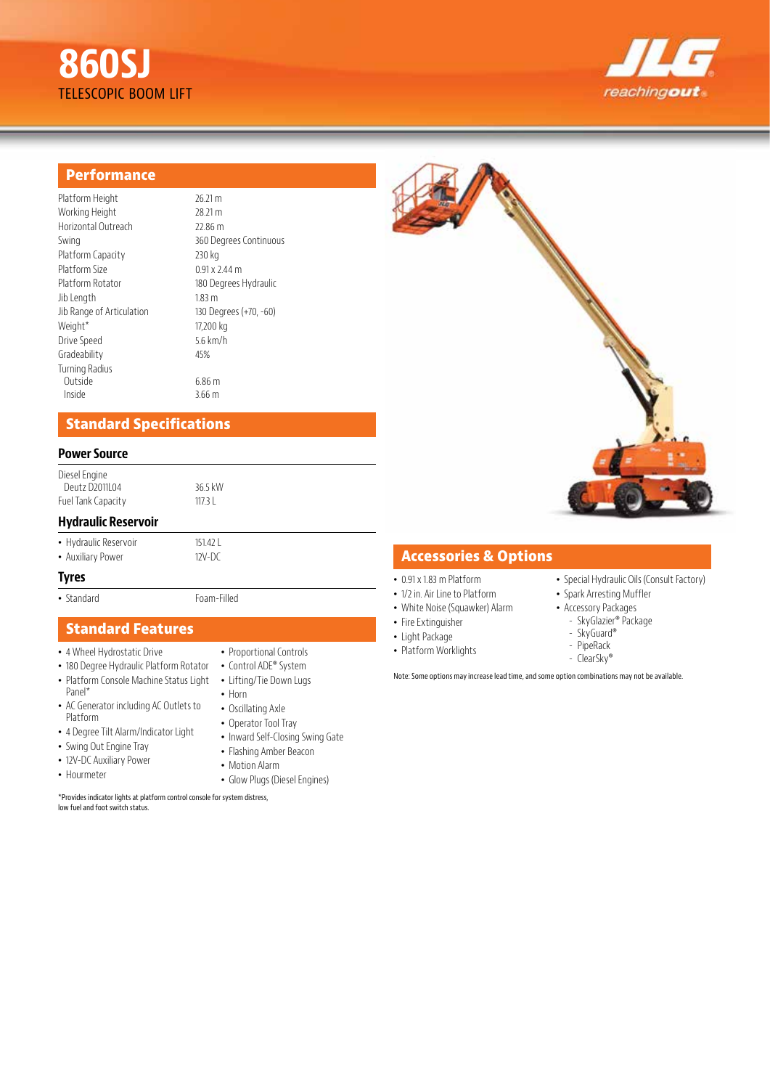# **860SJ** TELESCOPIC BOOM LIFT



# **Performance**

| Platform Height           | 26.21 m                |
|---------------------------|------------------------|
| Working Height            | 28.21 m                |
| Horizontal Outreach       | 22.86 m                |
| Swing                     | 360 Degrees Continuous |
| Platform Capacity         | 230 kg                 |
| Platform Size             | $0.91 \times 2.44$ m   |
| Platform Rotator          | 180 Degrees Hydraulic  |
| Jib Length                | 1.83 m                 |
| Jib Range of Articulation | 130 Degrees (+70, -60) |
| Weight*                   | 17,200 kg              |
| Drive Speed               | 5.6 $km/h$             |
| Gradeability              | 45%                    |
| Turning Radius            |                        |
| Outside                   | 6.86 m                 |
| Inside                    | 3.66 <sub>m</sub>      |

# **Standard Specifications**

#### **Power Source**

Diesel Engine Deutz D2011L04 36.5 kW Fuel Tank Capacity 117.3 L

#### **Hydraulic Reservoir**

• Hydraulic Reservoir<br>• Auxiliary Power 17V-DC

• Auxiliary Power

#### **Tyres**

• Standard Foam-Filled

# **Standard Features**

- 4 Wheel Hydrostatic Drive
- 180 Degree Hydraulic Platform Rotator
- Platform Console Machine Status Light Panel\*
- AC Generator including AC Outlets to Platform
- 4 Degree Tilt Alarm/Indicator Light
- Swing Out Engine Tray
- 12V-DC Auxiliary Power
- Hourmeter
- Proportional Controls
- Control ADE® System
- 
- Horn
- 
- Operator Tool Tray
- Inward Self-Closing Swing Gate
- Flashing Amber Beacon
- Motion Alarm
- Glow Plugs (Diesel Engines)

\*Provides indicator lights at platform control console for system distress, low fuel and foot switch status.



### **Accessories & Options**

- 0.91 x 1.83 m Platform
- 1/2 in. Air Line to Platform
- White Noise (Squawker) Alarm
- Fire Extinguisher
- Light Package
- Platform Worklights
- PipeRack - ClearSky®

• Special Hydraulic Oils (Consult Factory)

• Spark Arresting Muffler • Accessory Packages - SkyGlazier® Package - SkyGuard®

- 
- - -

Note: Some options may increase lead time, and some option combinations may not be available.

- 
- 
- Lifting/Tie Down Lugs
	-
- Oscillating Axle